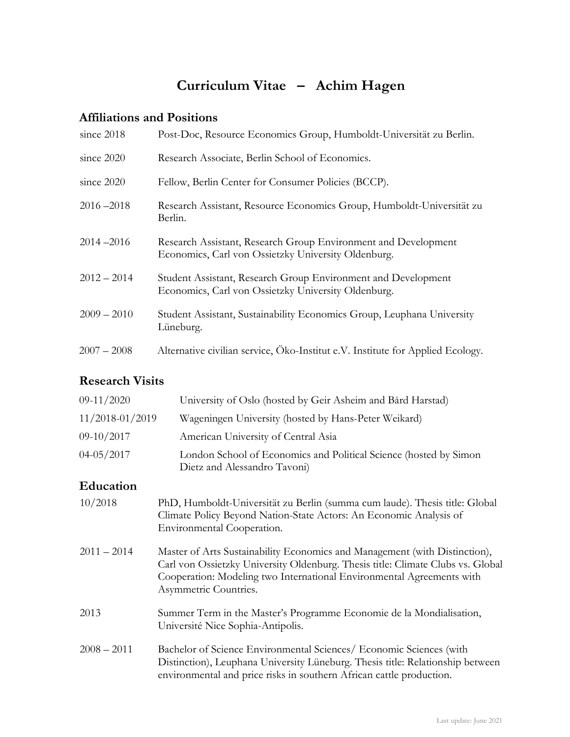# **Curriculum Vitae – Achim Hagen**

# **Affiliations and Positions**

| since $2018$  | Post-Doc, Resource Economics Group, Humboldt-Universität zu Berlin.                                                   |
|---------------|-----------------------------------------------------------------------------------------------------------------------|
| since $2020$  | Research Associate, Berlin School of Economics.                                                                       |
| since 2020    | Fellow, Berlin Center for Consumer Policies (BCCP).                                                                   |
| $2016 - 2018$ | Research Assistant, Resource Economics Group, Humboldt-Universität zu<br>Berlin.                                      |
| $2014 - 2016$ | Research Assistant, Research Group Environment and Development<br>Economics, Carl von Ossietzky University Oldenburg. |
| $2012 - 2014$ | Student Assistant, Research Group Environment and Development<br>Economics, Carl von Ossietzky University Oldenburg.  |
| $2009 - 2010$ | Student Assistant, Sustainability Economics Group, Leuphana University<br>Lüneburg.                                   |
| $2007 - 2008$ | Alternative civilian service, Öko-Institut e.V. Institute for Applied Ecology.                                        |

# **Research Visits**

| 09-11/2020       | University of Oslo (hosted by Geir Asheim and Bård Harstad)                                                                                                                                                                                                     |
|------------------|-----------------------------------------------------------------------------------------------------------------------------------------------------------------------------------------------------------------------------------------------------------------|
| 11/2018-01/2019  | Wageningen University (hosted by Hans-Peter Weikard)                                                                                                                                                                                                            |
| $09-10/2017$     | American University of Central Asia                                                                                                                                                                                                                             |
| $04 - 05 / 2017$ | London School of Economics and Political Science (hosted by Simon<br>Dietz and Alessandro Tavoni)                                                                                                                                                               |
| Education        |                                                                                                                                                                                                                                                                 |
| 10/2018          | PhD, Humboldt-Universität zu Berlin (summa cum laude). Thesis title: Global<br>Climate Policy Beyond Nation-State Actors: An Economic Analysis of<br>Environmental Cooperation.                                                                                 |
| $2011 - 2014$    | Master of Arts Sustainability Economics and Management (with Distinction),<br>Carl von Ossietzky University Oldenburg. Thesis title: Climate Clubs vs. Global<br>Cooperation: Modeling two International Environmental Agreements with<br>Asymmetric Countries. |
| 2013             | Summer Term in the Master's Programme Economie de la Mondialisation,<br>Université Nice Sophia-Antipolis.                                                                                                                                                       |
| $2008 - 2011$    | Bachelor of Science Environmental Sciences/ Economic Sciences (with<br>Distinction), Leuphana University Lüneburg. Thesis title: Relationship between<br>environmental and price risks in southern African cattle production.                                   |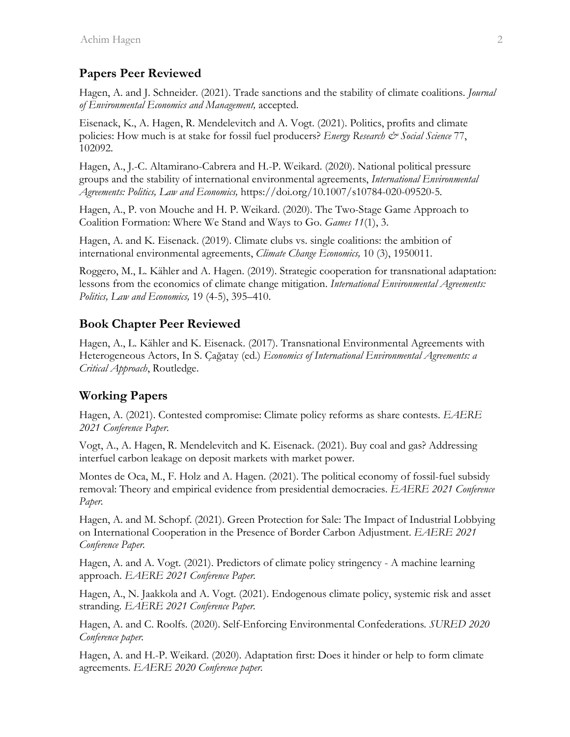#### **Papers Peer Reviewed**

Hagen, A. and J. Schneider. (2021). Trade sanctions and the stability of climate coalitions. *Journal of Environmental Economics and Management,* accepted.

Eisenack, K., A. Hagen, R. Mendelevitch and A. Vogt. (2021). Politics, profits and climate policies: How much is at stake for fossil fuel producers? *Energy Research & Social Science* 77, 102092.

Hagen, A., J.-C. Altamirano-Cabrera and H.-P. Weikard. (2020). National political pressure groups and the stability of international environmental agreements, *International Environmental Agreements: Politics, Law and Economics,* https://doi.org/10.1007/s10784-020-09520-5*.*

Hagen, A., P. von Mouche and H. P. Weikard. (2020). The Two-Stage Game Approach to Coalition Formation: Where We Stand and Ways to Go. *Games 11*(1), 3.

Hagen, A. and K. Eisenack. (2019). Climate clubs vs. single coalitions: the ambition of international environmental agreements, *Climate Change Economics,* 10 (3), 1950011.

Roggero, M., L. Kähler and A. Hagen. (2019). Strategic cooperation for transnational adaptation: lessons from the economics of climate change mitigation. *International Environmental Agreements: Politics, Law and Economics,* 19 (4-5), 395–410.

### **Book Chapter Peer Reviewed**

Hagen, A., L. Kähler and K. Eisenack. (2017). Transnational Environmental Agreements with Heterogeneous Actors, In S. Çağatay (ed.) *Economics of International Environmental Agreements: a Critical Approach*, Routledge.

### **Working Papers**

Hagen, A. (2021). Contested compromise: Climate policy reforms as share contests. *EAERE 2021 Conference Paper*.

Vogt, A., A. Hagen, R. Mendelevitch and K. Eisenack. (2021). Buy coal and gas? Addressing interfuel carbon leakage on deposit markets with market power.

Montes de Oca, M., F. Holz and A. Hagen. (2021). The political economy of fossil-fuel subsidy removal: Theory and empirical evidence from presidential democracies. *EAERE 2021 Conference Paper.*

Hagen, A. and M. Schopf. (2021). Green Protection for Sale: The Impact of Industrial Lobbying on International Cooperation in the Presence of Border Carbon Adjustment. *EAERE 2021 Conference Paper.*

Hagen, A. and A. Vogt. (2021). Predictors of climate policy stringency - A machine learning approach. *EAERE 2021 Conference Paper.*

Hagen, A., N. Jaakkola and A. Vogt. (2021). Endogenous climate policy, systemic risk and asset stranding. *EAERE 2021 Conference Paper.*

Hagen, A. and C. Roolfs. (2020). Self-Enforcing Environmental Confederations*. SURED 2020 Conference paper.*

Hagen, A. and H.-P. Weikard. (2020). Adaptation first: Does it hinder or help to form climate agreements. *EAERE 2020 Conference paper.*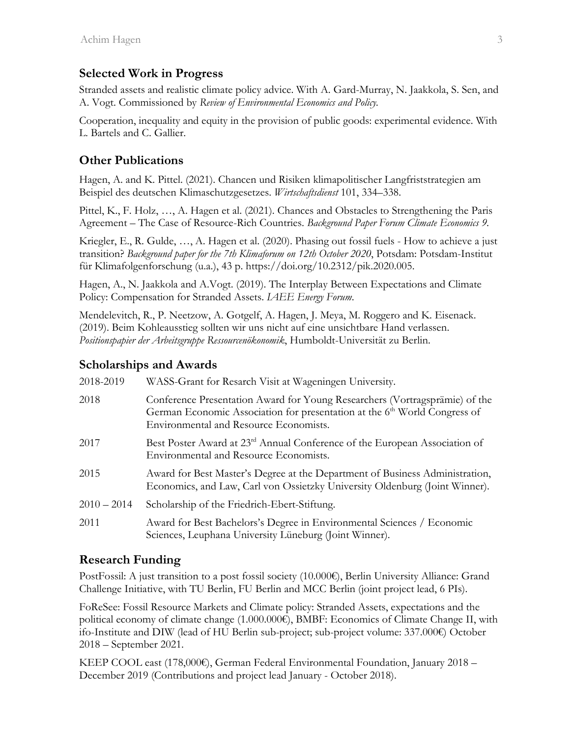### **Selected Work in Progress**

Stranded assets and realistic climate policy advice. With A. Gard-Murray, N. Jaakkola, S. Sen, and A. Vogt. Commissioned by *Review of Environmental Economics and Policy.*

Cooperation, inequality and equity in the provision of public goods: experimental evidence. With L. Bartels and C. Gallier.

## **Other Publications**

Hagen, A. and K. Pittel. (2021). Chancen und Risiken klimapolitischer Langfriststrategien am Beispiel des deutschen Klimaschutzgesetzes. *Wirtschaftsdienst* 101, 334–338.

Pittel, K., F. Holz, …, A. Hagen et al. (2021). Chances and Obstacles to Strengthening the Paris Agreement – The Case of Resource-Rich Countries. *Background Paper Forum Climate Economics 9.*

Kriegler, E., R. Gulde, …, A. Hagen et al. (2020). Phasing out fossil fuels - How to achieve a just transition? *Background paper for the 7th Klimaforum on 12th October 2020*, Potsdam: Potsdam-Institut für Klimafolgenforschung (u.a.), 43 p. https://doi.org/10.2312/pik.2020.005.

Hagen, A., N. Jaakkola and A.Vogt. (2019). The Interplay Between Expectations and Climate Policy: Compensation for Stranded Assets. *IAEE Energy Forum*.

Mendelevitch, R., P. Neetzow, A. Gotgelf, A. Hagen, J. Meya, M. Roggero and K. Eisenack. (2019). Beim Kohleausstieg sollten wir uns nicht auf eine unsichtbare Hand verlassen. *Positionspapier der Arbeitsgruppe Ressourcenökonomik*, Humboldt-Universität zu Berlin.

## **Scholarships and Awards**

| 2018-2019     | WASS-Grant for Resarch Visit at Wageningen University.                                                                                                                                                         |
|---------------|----------------------------------------------------------------------------------------------------------------------------------------------------------------------------------------------------------------|
| 2018          | Conference Presentation Award for Young Researchers (Vortragsprämie) of the<br>German Economic Association for presentation at the 6 <sup>th</sup> World Congress of<br>Environmental and Resource Economists. |
| 2017          | Best Poster Award at 23 <sup>rd</sup> Annual Conference of the European Association of<br>Environmental and Resource Economists.                                                                               |
| 2015          | Award for Best Master's Degree at the Department of Business Administration,<br>Economics, and Law, Carl von Ossietzky University Oldenburg (Joint Winner).                                                    |
| $2010 - 2014$ | Scholarship of the Friedrich-Ebert-Stiftung.                                                                                                                                                                   |
| 2011          | Award for Best Bachelors's Degree in Environmental Sciences / Economic<br>Sciences, Leuphana University Lüneburg (Joint Winner).                                                                               |

### **Research Funding**

PostFossil: A just transition to a post fossil society (10.000€), Berlin University Alliance: Grand Challenge Initiative, with TU Berlin, FU Berlin and MCC Berlin (joint project lead, 6 PIs).

FoReSee: Fossil Resource Markets and Climate policy: Stranded Assets, expectations and the political economy of climate change (1.000.000€), BMBF: Economics of Climate Change II, with ifo-Institute and DIW (lead of HU Berlin sub-project; sub-project volume: 337.000€) October 2018 – September 2021.

KEEP COOL east (178,000€), German Federal Environmental Foundation, January 2018 – December 2019 (Contributions and project lead January - October 2018).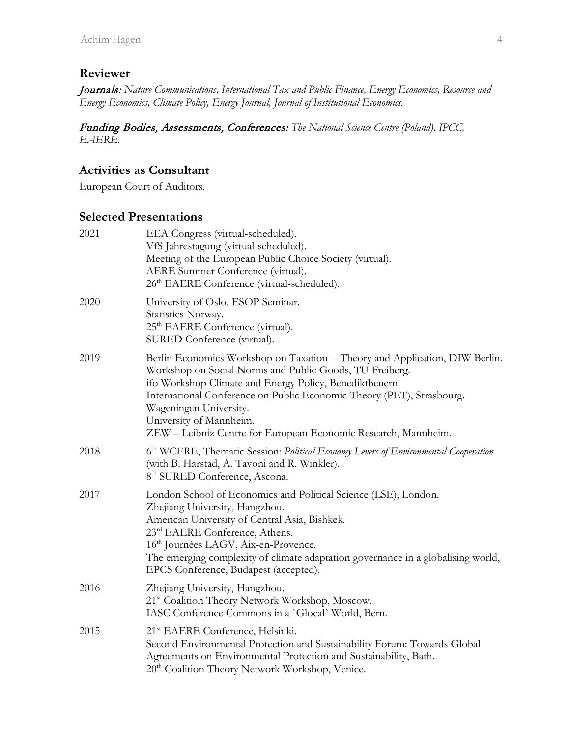# **Reviewer**

Journals: *Nature Communications, International Tax and Public Finance, Energy Economics, Resource and Energy Economics, Climate Policy, Energy Journal, Journal of Institutional Economics.*

Funding Bodies, Assessments, Conferences: *The National Science Centre (Poland), IPCC, EAERE.*

### **Activities as Consultant**

European Court of Auditors.

### **Selected Presentations**

| 2021 | EEA Congress (virtual-scheduled).<br>VfS Jahrestagung (virtual-scheduled).<br>Meeting of the European Public Choice Society (virtual).<br>AERE Summer Conference (virtual).<br>26 <sup>th</sup> EAERE Conference (virtual-scheduled).                                                                                                                                                              |
|------|----------------------------------------------------------------------------------------------------------------------------------------------------------------------------------------------------------------------------------------------------------------------------------------------------------------------------------------------------------------------------------------------------|
| 2020 | University of Oslo, ESOP Seminar.<br>Statistics Norway.<br>25 <sup>th</sup> EAERE Conference (virtual).<br>SURED Conference (virtual).                                                                                                                                                                                                                                                             |
| 2019 | Berlin Economics Workshop on Taxation -- Theory and Application, DIW Berlin.<br>Workshop on Social Norms and Public Goods, TU Freiberg.<br>ifo Workshop Climate and Energy Policy, Benediktbeuern.<br>International Conference on Public Economic Theory (PET), Strasbourg.<br>Wageningen University.<br>University of Mannheim.<br>ZEW - Leibniz Centre for European Economic Research, Mannheim. |
| 2018 | 6 <sup>th</sup> WCERE, Thematic Session: Political Economy Levers of Environmental Cooperation<br>(with B. Harstad, A. Tavoni and R. Winkler).<br>8 <sup>th</sup> SURED Conference, Ascona.                                                                                                                                                                                                        |
| 2017 | London School of Economics and Political Science (LSE), London.<br>Zhejiang University, Hangzhou.<br>American University of Central Asia, Bishkek.<br>23rd EAERE Conference, Athens.<br>16 <sup>th</sup> Journées LAGV, Aix-en-Provence.<br>The emerging complexity of climate adaptation governance in a globalising world,<br>EPCS Conference, Budapest (accepted).                              |
| 2016 | Zhejiang University, Hangzhou.<br>21st Coalition Theory Network Workshop, Moscow.<br>IASC Conference Commons in a 'Glocal' World, Bern.                                                                                                                                                                                                                                                            |
| 2015 | 21 <sup>st</sup> EAERE Conference, Helsinki.<br>Second Environmental Protection and Sustainability Forum: Towards Global<br>Agreements on Environmental Protection and Sustainability, Bath.<br>20 <sup>th</sup> Coalition Theory Network Workshop, Venice.                                                                                                                                        |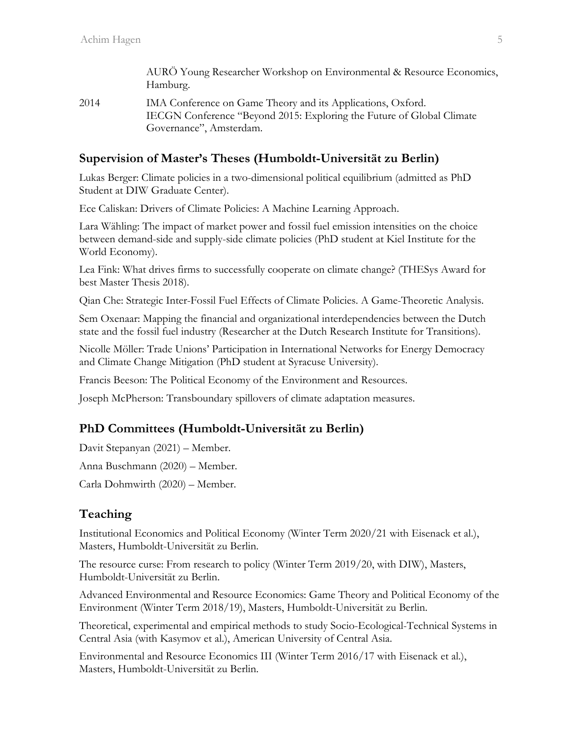|      | AURÖ Young Researcher Workshop on Environmental & Resource Economics,<br>Hamburg.                                                     |
|------|---------------------------------------------------------------------------------------------------------------------------------------|
| 2014 | IMA Conference on Game Theory and its Applications, Oxford.<br>IECGN Conference "Beyond 2015: Exploring the Future of Global Climate" |
|      | Governance", Amsterdam.                                                                                                               |

#### **Supervision of Master's Theses (Humboldt-Universität zu Berlin)**

Lukas Berger: Climate policies in a two-dimensional political equilibrium (admitted as PhD Student at DIW Graduate Center).

Ece Caliskan: Drivers of Climate Policies: A Machine Learning Approach.

Lara Wähling: The impact of market power and fossil fuel emission intensities on the choice between demand-side and supply-side climate policies (PhD student at Kiel Institute for the World Economy).

Lea Fink: What drives firms to successfully cooperate on climate change? (THESys Award for best Master Thesis 2018).

Qian Che: Strategic Inter-Fossil Fuel Effects of Climate Policies. A Game-Theoretic Analysis.

Sem Oxenaar: Mapping the financial and organizational interdependencies between the Dutch state and the fossil fuel industry (Researcher at the Dutch Research Institute for Transitions).

Nicolle Möller: Trade Unions' Participation in International Networks for Energy Democracy and Climate Change Mitigation (PhD student at Syracuse University).

Francis Beeson: The Political Economy of the Environment and Resources.

Joseph McPherson: Transboundary spillovers of climate adaptation measures.

#### **PhD Committees (Humboldt-Universität zu Berlin)**

Davit Stepanyan (2021) – Member.

Anna Buschmann (2020) – Member.

Carla Dohmwirth (2020) – Member.

#### **Teaching**

Institutional Economics and Political Economy (Winter Term 2020/21 with Eisenack et al.), Masters, Humboldt-Universität zu Berlin.

The resource curse: From research to policy (Winter Term 2019/20, with DIW), Masters, Humboldt-Universität zu Berlin.

Advanced Environmental and Resource Economics: Game Theory and Political Economy of the Environment (Winter Term 2018/19), Masters, Humboldt-Universität zu Berlin.

Theoretical, experimental and empirical methods to study Socio-Ecological-Technical Systems in Central Asia (with Kasymov et al.), American University of Central Asia.

Environmental and Resource Economics III (Winter Term 2016/17 with Eisenack et al.), Masters, Humboldt-Universität zu Berlin.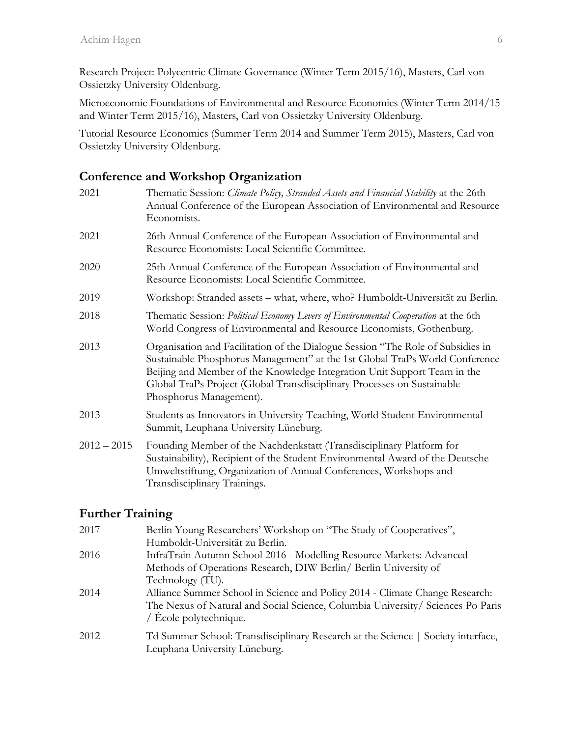Research Project: Polycentric Climate Governance (Winter Term 2015/16), Masters, Carl von Ossietzky University Oldenburg.

Microeconomic Foundations of Environmental and Resource Economics (Winter Term 2014/15 and Winter Term 2015/16), Masters, Carl von Ossietzky University Oldenburg.

Tutorial Resource Economics (Summer Term 2014 and Summer Term 2015), Masters, Carl von Ossietzky University Oldenburg.

### **Conference and Workshop Organization**

| 2021          | Thematic Session: Climate Policy, Stranded Assets and Financial Stability at the 26th<br>Annual Conference of the European Association of Environmental and Resource<br>Economists.                                                                                                                                                              |
|---------------|--------------------------------------------------------------------------------------------------------------------------------------------------------------------------------------------------------------------------------------------------------------------------------------------------------------------------------------------------|
| 2021          | 26th Annual Conference of the European Association of Environmental and<br>Resource Economists: Local Scientific Committee.                                                                                                                                                                                                                      |
| 2020          | 25th Annual Conference of the European Association of Environmental and<br>Resource Economists: Local Scientific Committee.                                                                                                                                                                                                                      |
| 2019          | Workshop: Stranded assets – what, where, who? Humboldt-Universität zu Berlin.                                                                                                                                                                                                                                                                    |
| 2018          | Thematic Session: Political Economy Levers of Environmental Cooperation at the 6th<br>World Congress of Environmental and Resource Economists, Gothenburg.                                                                                                                                                                                       |
| 2013          | Organisation and Facilitation of the Dialogue Session "The Role of Subsidies in<br>Sustainable Phosphorus Management" at the 1st Global TraPs World Conference<br>Beijing and Member of the Knowledge Integration Unit Support Team in the<br>Global TraPs Project (Global Transdisciplinary Processes on Sustainable<br>Phosphorus Management). |
| 2013          | Students as Innovators in University Teaching, World Student Environmental<br>Summit, Leuphana University Lüneburg.                                                                                                                                                                                                                              |
| $2012 - 2015$ | Founding Member of the Nachdenkstatt (Transdisciplinary Platform for<br>Sustainability), Recipient of the Student Environmental Award of the Deutsche<br>Umweltstiftung, Organization of Annual Conferences, Workshops and<br>Transdisciplinary Trainings.                                                                                       |

### **Further Training**

| Berlin Young Researchers' Workshop on "The Study of Cooperatives",               |
|----------------------------------------------------------------------------------|
| Humboldt-Universität zu Berlin.                                                  |
| InfraTrain Autumn School 2016 - Modelling Resource Markets: Advanced             |
| Methods of Operations Research, DIW Berlin/ Berlin University of                 |
| Technology (TU).                                                                 |
| Alliance Summer School in Science and Policy 2014 - Climate Change Research:     |
| The Nexus of Natural and Social Science, Columbia University/Sciences Po Paris   |
| / $\angle$ Ecole polytechnique.                                                  |
| Td Summer School: Transdisciplinary Research at the Science   Society interface, |
| Leuphana University Lüneburg.                                                    |
|                                                                                  |